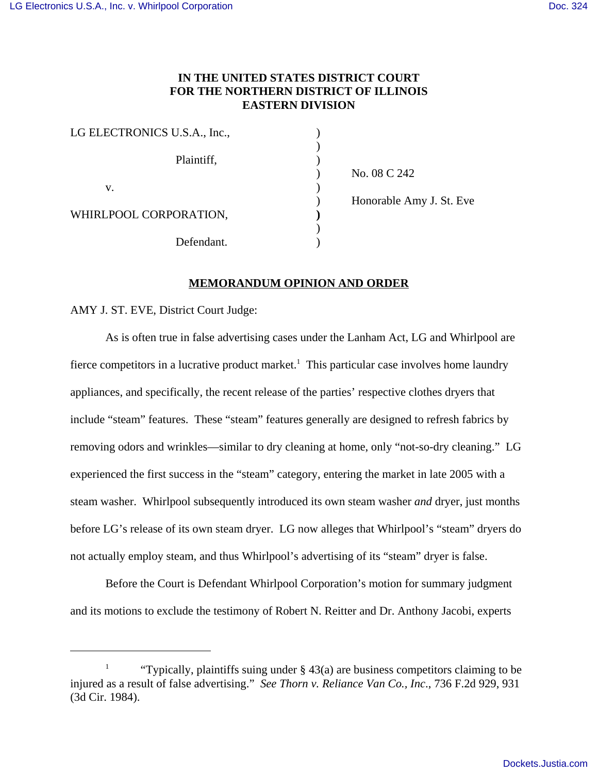# **IN THE UNITED STATES DISTRICT COURT FOR THE NORTHERN DISTRICT OF ILLINOIS EASTERN DIVISION**

| LG ELECTRONICS U.S.A., Inc., |  |
|------------------------------|--|
| Plaintiff,                   |  |
| v.                           |  |
| WHIRLPOOL CORPORATION,       |  |
| Defendant.                   |  |

) No. 08 C 242 ) Honorable Amy J. St. Eve

# **MEMORANDUM OPINION AND ORDER**

AMY J. ST. EVE, District Court Judge:

As is often true in false advertising cases under the Lanham Act, LG and Whirlpool are fierce competitors in a lucrative product market.<sup>1</sup> This particular case involves home laundry appliances, and specifically, the recent release of the parties' respective clothes dryers that include "steam" features. These "steam" features generally are designed to refresh fabrics by removing odors and wrinkles—similar to dry cleaning at home, only "not-so-dry cleaning." LG experienced the first success in the "steam" category, entering the market in late 2005 with a steam washer. Whirlpool subsequently introduced its own steam washer *and* dryer, just months before LG's release of its own steam dryer. LG now alleges that Whirlpool's "steam" dryers do not actually employ steam, and thus Whirlpool's advertising of its "steam" dryer is false.

Before the Court is Defendant Whirlpool Corporation's motion for summary judgment and its motions to exclude the testimony of Robert N. Reitter and Dr. Anthony Jacobi, experts

<sup>&</sup>lt;sup>1</sup> "Typically, plaintiffs suing under  $\S$  43(a) are business competitors claiming to be injured as a result of false advertising." *See Thorn v. Reliance Van Co., Inc*., 736 F.2d 929, 931 (3d Cir. 1984).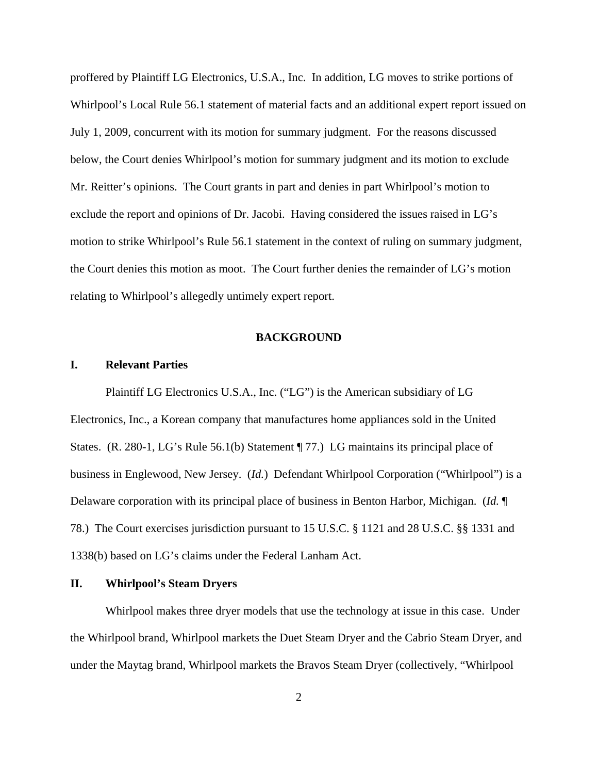proffered by Plaintiff LG Electronics, U.S.A., Inc. In addition, LG moves to strike portions of Whirlpool's Local Rule 56.1 statement of material facts and an additional expert report issued on July 1, 2009, concurrent with its motion for summary judgment. For the reasons discussed below, the Court denies Whirlpool's motion for summary judgment and its motion to exclude Mr. Reitter's opinions. The Court grants in part and denies in part Whirlpool's motion to exclude the report and opinions of Dr. Jacobi. Having considered the issues raised in LG's motion to strike Whirlpool's Rule 56.1 statement in the context of ruling on summary judgment, the Court denies this motion as moot. The Court further denies the remainder of LG's motion relating to Whirlpool's allegedly untimely expert report.

### **BACKGROUND**

#### **I. Relevant Parties**

 Plaintiff LG Electronics U.S.A., Inc. ("LG") is the American subsidiary of LG Electronics, Inc., a Korean company that manufactures home appliances sold in the United States. (R. 280-1, LG's Rule 56.1(b) Statement ¶ 77.) LG maintains its principal place of business in Englewood, New Jersey. (*Id.*) Defendant Whirlpool Corporation ("Whirlpool") is a Delaware corporation with its principal place of business in Benton Harbor, Michigan. (*Id.* ¶ 78.) The Court exercises jurisdiction pursuant to 15 U.S.C. § 1121 and 28 U.S.C. §§ 1331 and 1338(b) based on LG's claims under the Federal Lanham Act.

## **II. Whirlpool's Steam Dryers**

Whirlpool makes three dryer models that use the technology at issue in this case. Under the Whirlpool brand, Whirlpool markets the Duet Steam Dryer and the Cabrio Steam Dryer, and under the Maytag brand, Whirlpool markets the Bravos Steam Dryer (collectively, "Whirlpool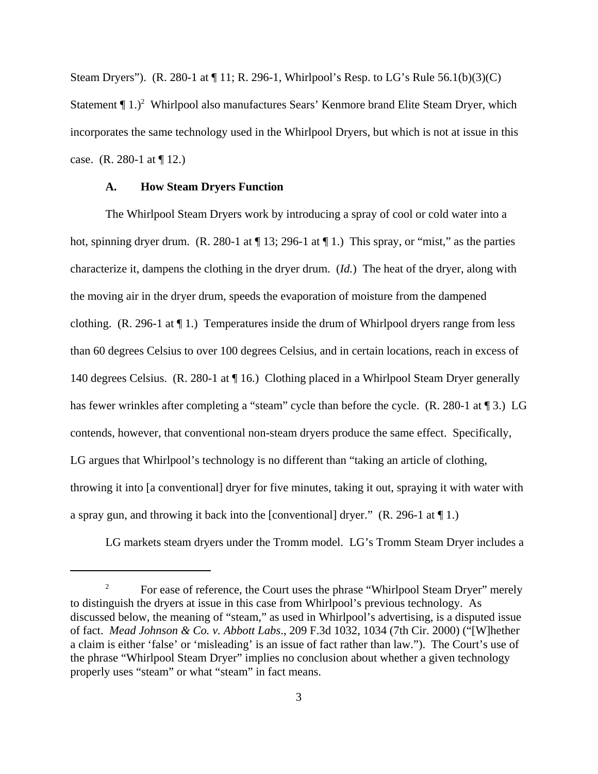Steam Dryers"). (R. 280-1 at ¶ 11; R. 296-1, Whirlpool's Resp. to LG's Rule 56.1(b)(3)(C) Statement  $\P$  1.)<sup>2</sup> Whirlpool also manufactures Sears' Kenmore brand Elite Steam Dryer, which incorporates the same technology used in the Whirlpool Dryers, but which is not at issue in this case. (R. 280-1 at  $\P$  12.)

#### **A. How Steam Dryers Function**

 The Whirlpool Steam Dryers work by introducing a spray of cool or cold water into a hot, spinning dryer drum. (R. 280-1 at  $\P$  13; 296-1 at  $\P$  1.) This spray, or "mist," as the parties characterize it, dampens the clothing in the dryer drum. (*Id.*) The heat of the dryer, along with the moving air in the dryer drum, speeds the evaporation of moisture from the dampened clothing.  $(R. 296-1$  at  $\P$  1.) Temperatures inside the drum of Whirlpool dryers range from less than 60 degrees Celsius to over 100 degrees Celsius, and in certain locations, reach in excess of 140 degrees Celsius. (R. 280-1 at ¶ 16.) Clothing placed in a Whirlpool Steam Dryer generally has fewer wrinkles after completing a "steam" cycle than before the cycle. (R. 280-1 at 13.) LG contends, however, that conventional non-steam dryers produce the same effect. Specifically, LG argues that Whirlpool's technology is no different than "taking an article of clothing, throwing it into [a conventional] dryer for five minutes, taking it out, spraying it with water with a spray gun, and throwing it back into the [conventional] dryer." (R. 296-1 at ¶ 1.)

LG markets steam dryers under the Tromm model. LG's Tromm Steam Dryer includes a

<sup>&</sup>lt;sup>2</sup> For ease of reference, the Court uses the phrase "Whirlpool Steam Dryer" merely to distinguish the dryers at issue in this case from Whirlpool's previous technology. As discussed below, the meaning of "steam," as used in Whirlpool's advertising, is a disputed issue of fact. *Mead Johnson & Co. v. Abbott Labs*., 209 F.3d 1032, 1034 (7th Cir. 2000) ("[W]hether a claim is either 'false' or 'misleading' is an issue of fact rather than law."). The Court's use of the phrase "Whirlpool Steam Dryer" implies no conclusion about whether a given technology properly uses "steam" or what "steam" in fact means.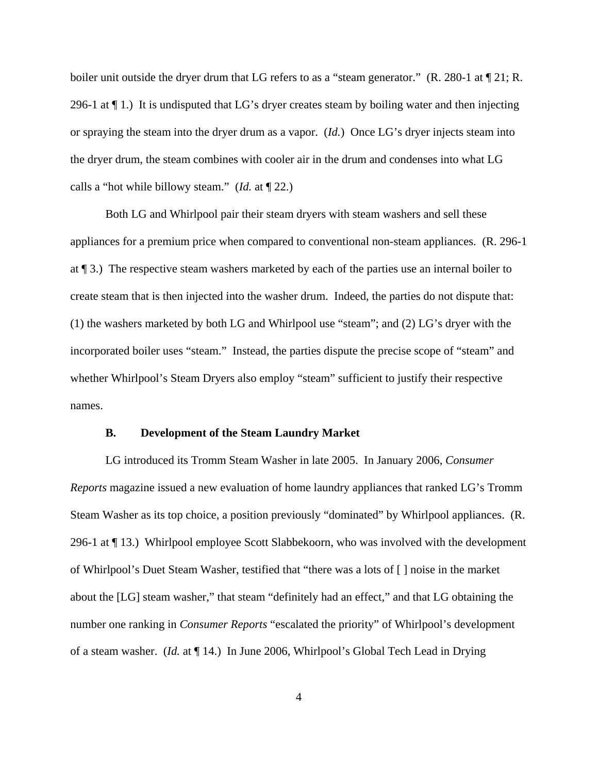boiler unit outside the dryer drum that LG refers to as a "steam generator." (R. 280-1 at  $\P$  21; R. 296-1 at ¶ 1.) It is undisputed that LG's dryer creates steam by boiling water and then injecting or spraying the steam into the dryer drum as a vapor. (*Id.*) Once LG's dryer injects steam into the dryer drum, the steam combines with cooler air in the drum and condenses into what LG calls a "hot while billowy steam." (*Id.* at ¶ 22.)

Both LG and Whirlpool pair their steam dryers with steam washers and sell these appliances for a premium price when compared to conventional non-steam appliances. (R. 296-1 at ¶ 3.) The respective steam washers marketed by each of the parties use an internal boiler to create steam that is then injected into the washer drum. Indeed, the parties do not dispute that: (1) the washers marketed by both LG and Whirlpool use "steam"; and (2) LG's dryer with the incorporated boiler uses "steam." Instead, the parties dispute the precise scope of "steam" and whether Whirlpool's Steam Dryers also employ "steam" sufficient to justify their respective names.

### **B. Development of the Steam Laundry Market**

LG introduced its Tromm Steam Washer in late 2005. In January 2006, *Consumer Reports* magazine issued a new evaluation of home laundry appliances that ranked LG's Tromm Steam Washer as its top choice, a position previously "dominated" by Whirlpool appliances. (R. 296-1 at ¶ 13.) Whirlpool employee Scott Slabbekoorn, who was involved with the development of Whirlpool's Duet Steam Washer, testified that "there was a lots of [ ] noise in the market about the [LG] steam washer," that steam "definitely had an effect," and that LG obtaining the number one ranking in *Consumer Reports* "escalated the priority" of Whirlpool's development of a steam washer. (*Id.* at ¶ 14.) In June 2006, Whirlpool's Global Tech Lead in Drying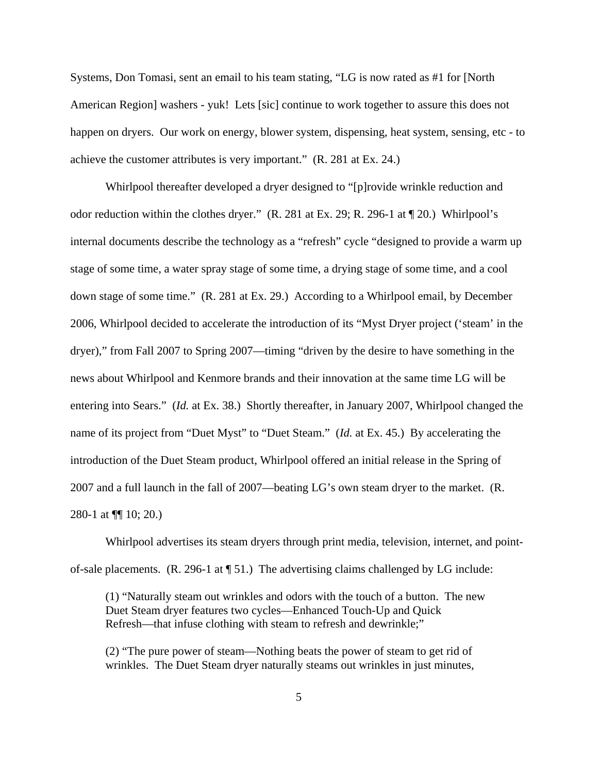Systems, Don Tomasi, sent an email to his team stating, "LG is now rated as #1 for [North American Region] washers - yuk! Lets [sic] continue to work together to assure this does not happen on dryers. Our work on energy, blower system, dispensing, heat system, sensing, etc - to achieve the customer attributes is very important." (R. 281 at Ex. 24.)

Whirlpool thereafter developed a dryer designed to "[p]rovide wrinkle reduction and odor reduction within the clothes dryer." (R. 281 at Ex. 29; R. 296-1 at ¶ 20.) Whirlpool's internal documents describe the technology as a "refresh" cycle "designed to provide a warm up stage of some time, a water spray stage of some time, a drying stage of some time, and a cool down stage of some time." (R. 281 at Ex. 29.) According to a Whirlpool email, by December 2006, Whirlpool decided to accelerate the introduction of its "Myst Dryer project ('steam' in the dryer)," from Fall 2007 to Spring 2007—timing "driven by the desire to have something in the news about Whirlpool and Kenmore brands and their innovation at the same time LG will be entering into Sears." (*Id.* at Ex. 38.) Shortly thereafter, in January 2007, Whirlpool changed the name of its project from "Duet Myst" to "Duet Steam." (*Id.* at Ex. 45.) By accelerating the introduction of the Duet Steam product, Whirlpool offered an initial release in the Spring of 2007 and a full launch in the fall of 2007—beating LG's own steam dryer to the market. (R. 280-1 at ¶¶ 10; 20.)

Whirlpool advertises its steam dryers through print media, television, internet, and pointof-sale placements. (R. 296-1 at ¶ 51.) The advertising claims challenged by LG include:

 (1) "Naturally steam out wrinkles and odors with the touch of a button. The new Duet Steam dryer features two cycles—Enhanced Touch-Up and Quick Refresh—that infuse clothing with steam to refresh and dewrinkle;"

(2) "The pure power of steam—Nothing beats the power of steam to get rid of wrinkles. The Duet Steam dryer naturally steams out wrinkles in just minutes,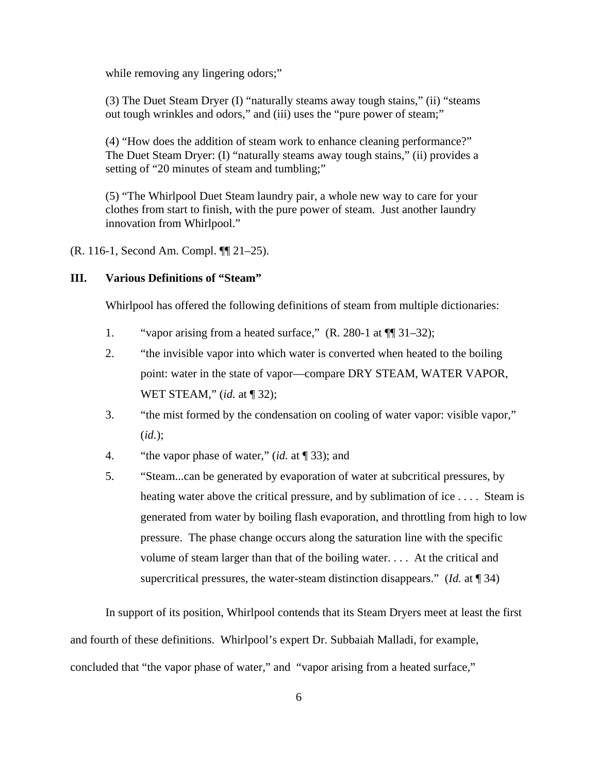while removing any lingering odors;"

(3) The Duet Steam Dryer (I) "naturally steams away tough stains," (ii) "steams out tough wrinkles and odors," and (iii) uses the "pure power of steam;"

(4) "How does the addition of steam work to enhance cleaning performance?" The Duet Steam Dryer: (I) "naturally steams away tough stains," (ii) provides a setting of "20 minutes of steam and tumbling;"

(5) "The Whirlpool Duet Steam laundry pair, a whole new way to care for your clothes from start to finish, with the pure power of steam. Just another laundry innovation from Whirlpool."

(R. 116-1, Second Am. Compl. ¶¶ 21–25).

## **III. Various Definitions of "Steam"**

Whirlpool has offered the following definitions of steam from multiple dictionaries:

- 1. "vapor arising from a heated surface," (R. 280-1 at ¶¶ 31–32);
- 2. "the invisible vapor into which water is converted when heated to the boiling point: water in the state of vapor—compare DRY STEAM, WATER VAPOR, WET STEAM," (*id.* at ¶ 32);
- 3. "the mist formed by the condensation on cooling of water vapor: visible vapor," (*id.*);
- 4. "the vapor phase of water," (*id.* at ¶ 33); and
- 5. "Steam...can be generated by evaporation of water at subcritical pressures, by heating water above the critical pressure, and by sublimation of ice . . . . Steam is generated from water by boiling flash evaporation, and throttling from high to low pressure. The phase change occurs along the saturation line with the specific volume of steam larger than that of the boiling water. . . . At the critical and supercritical pressures, the water-steam distinction disappears." (*Id.* at ¶ 34)

In support of its position, Whirlpool contends that its Steam Dryers meet at least the first and fourth of these definitions. Whirlpool's expert Dr. Subbaiah Malladi, for example, concluded that "the vapor phase of water," and "vapor arising from a heated surface,"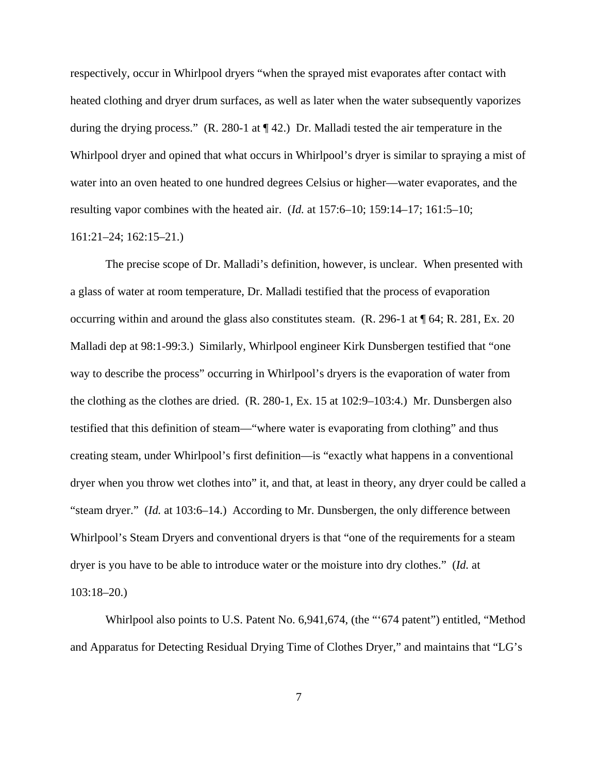respectively, occur in Whirlpool dryers "when the sprayed mist evaporates after contact with heated clothing and dryer drum surfaces, as well as later when the water subsequently vaporizes during the drying process."  $(R. 280-1$  at  $\P$  42.) Dr. Malladi tested the air temperature in the Whirlpool dryer and opined that what occurs in Whirlpool's dryer is similar to spraying a mist of water into an oven heated to one hundred degrees Celsius or higher—water evaporates, and the resulting vapor combines with the heated air. (*Id.* at 157:6–10; 159:14–17; 161:5–10;

## 161:21–24; 162:15–21.)

The precise scope of Dr. Malladi's definition, however, is unclear. When presented with a glass of water at room temperature, Dr. Malladi testified that the process of evaporation occurring within and around the glass also constitutes steam. (R. 296-1 at ¶ 64; R. 281, Ex. 20 Malladi dep at 98:1-99:3.) Similarly, Whirlpool engineer Kirk Dunsbergen testified that "one way to describe the process" occurring in Whirlpool's dryers is the evaporation of water from the clothing as the clothes are dried. (R. 280-1, Ex. 15 at 102:9–103:4.) Mr. Dunsbergen also testified that this definition of steam—"where water is evaporating from clothing" and thus creating steam, under Whirlpool's first definition—is "exactly what happens in a conventional dryer when you throw wet clothes into" it, and that, at least in theory, any dryer could be called a "steam dryer." (*Id.* at 103:6–14.) According to Mr. Dunsbergen, the only difference between Whirlpool's Steam Dryers and conventional dryers is that "one of the requirements for a steam dryer is you have to be able to introduce water or the moisture into dry clothes." (*Id.* at 103:18–20.)

Whirlpool also points to U.S. Patent No. 6,941,674, (the "'674 patent") entitled, "Method and Apparatus for Detecting Residual Drying Time of Clothes Dryer," and maintains that "LG's

7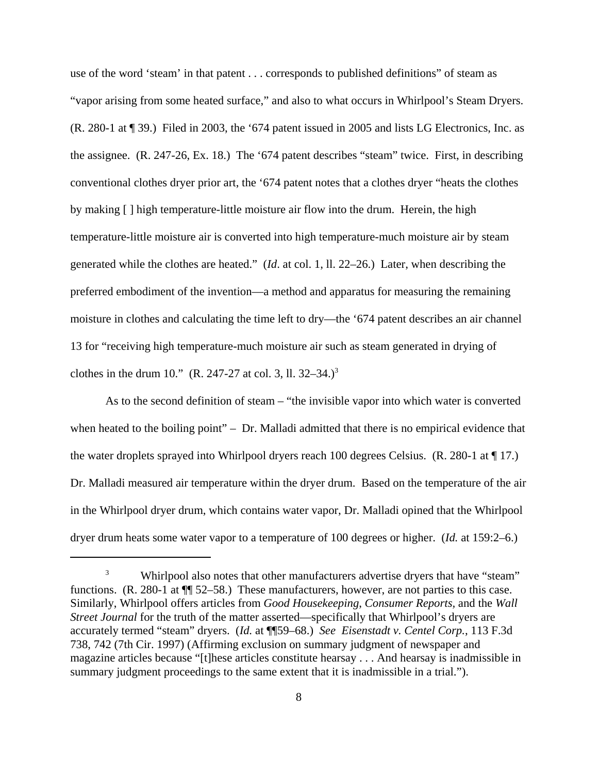use of the word 'steam' in that patent . . . corresponds to published definitions" of steam as "vapor arising from some heated surface," and also to what occurs in Whirlpool's Steam Dryers. (R. 280-1 at ¶ 39.) Filed in 2003, the '674 patent issued in 2005 and lists LG Electronics, Inc. as the assignee. (R. 247-26, Ex. 18.) The '674 patent describes "steam" twice. First, in describing conventional clothes dryer prior art, the '674 patent notes that a clothes dryer "heats the clothes by making [ ] high temperature-little moisture air flow into the drum. Herein, the high temperature-little moisture air is converted into high temperature-much moisture air by steam generated while the clothes are heated." (*Id*. at col. 1, ll. 22–26.) Later, when describing the preferred embodiment of the invention—a method and apparatus for measuring the remaining moisture in clothes and calculating the time left to dry—the '674 patent describes an air channel 13 for "receiving high temperature-much moisture air such as steam generated in drying of clothes in the drum 10." (R. 247-27 at col. 3, ll. 32–34.)<sup>3</sup>

As to the second definition of steam – "the invisible vapor into which water is converted when heated to the boiling point" – Dr. Malladi admitted that there is no empirical evidence that the water droplets sprayed into Whirlpool dryers reach 100 degrees Celsius. (R. 280-1 at ¶ 17.) Dr. Malladi measured air temperature within the dryer drum. Based on the temperature of the air in the Whirlpool dryer drum, which contains water vapor, Dr. Malladi opined that the Whirlpool dryer drum heats some water vapor to a temperature of 100 degrees or higher. (*Id.* at 159:2–6.)

<sup>&</sup>lt;sup>3</sup> Whirlpool also notes that other manufacturers advertise dryers that have "steam" functions. (R. 280-1 at ¶¶ 52–58.) These manufacturers, however, are not parties to this case. Similarly, Whirlpool offers articles from *Good Housekeeping*, *Consumer Reports,* and the *Wall Street Journal* for the truth of the matter asserted—specifically that Whirlpool's dryers are accurately termed "steam" dryers. (*Id.* at ¶¶59–68.) *See Eisenstadt v. Centel Corp.*, 113 F.3d 738, 742 (7th Cir. 1997) (Affirming exclusion on summary judgment of newspaper and magazine articles because "[t]hese articles constitute hearsay . . . And hearsay is inadmissible in summary judgment proceedings to the same extent that it is inadmissible in a trial.").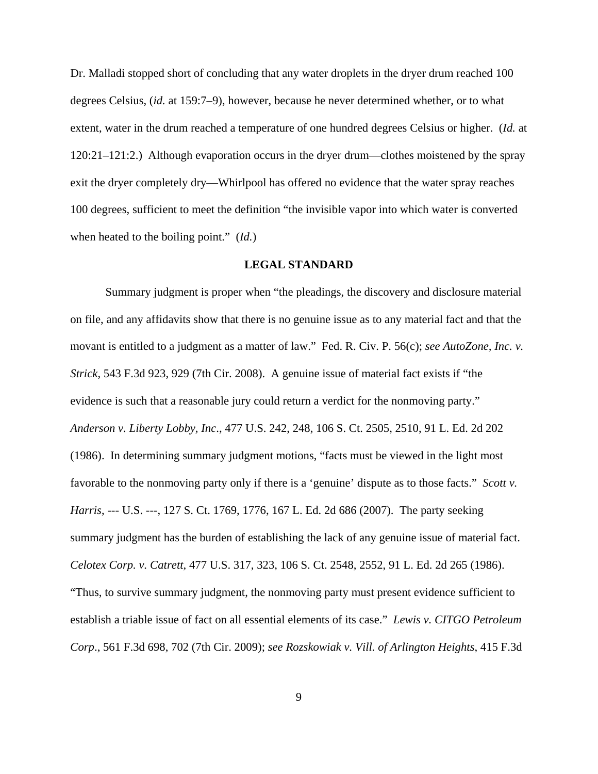Dr. Malladi stopped short of concluding that any water droplets in the dryer drum reached 100 degrees Celsius, (*id.* at 159:7–9), however, because he never determined whether, or to what extent, water in the drum reached a temperature of one hundred degrees Celsius or higher. (*Id.* at 120:21–121:2.) Although evaporation occurs in the dryer drum—clothes moistened by the spray exit the dryer completely dry—Whirlpool has offered no evidence that the water spray reaches 100 degrees, sufficient to meet the definition "the invisible vapor into which water is converted when heated to the boiling point." (*Id.*)

## **LEGAL STANDARD**

Summary judgment is proper when "the pleadings, the discovery and disclosure material on file, and any affidavits show that there is no genuine issue as to any material fact and that the movant is entitled to a judgment as a matter of law." Fed. R. Civ. P. 56(c); *see AutoZone, Inc. v. Strick*, 543 F.3d 923, 929 (7th Cir. 2008). A genuine issue of material fact exists if "the evidence is such that a reasonable jury could return a verdict for the nonmoving party." *Anderson v. Liberty Lobby, Inc*., 477 U.S. 242, 248, 106 S. Ct. 2505, 2510, 91 L. Ed. 2d 202 (1986). In determining summary judgment motions, "facts must be viewed in the light most favorable to the nonmoving party only if there is a 'genuine' dispute as to those facts." *Scott v. Harris*, --- U.S. ---, 127 S. Ct. 1769, 1776, 167 L. Ed. 2d 686 (2007). The party seeking summary judgment has the burden of establishing the lack of any genuine issue of material fact. *Celotex Corp. v. Catrett*, 477 U.S. 317, 323, 106 S. Ct. 2548, 2552, 91 L. Ed. 2d 265 (1986). "Thus, to survive summary judgment, the nonmoving party must present evidence sufficient to establish a triable issue of fact on all essential elements of its case." *Lewis v. CITGO Petroleum Corp*., 561 F.3d 698, 702 (7th Cir. 2009); *see Rozskowiak v. Vill. of Arlington Heights*, 415 F.3d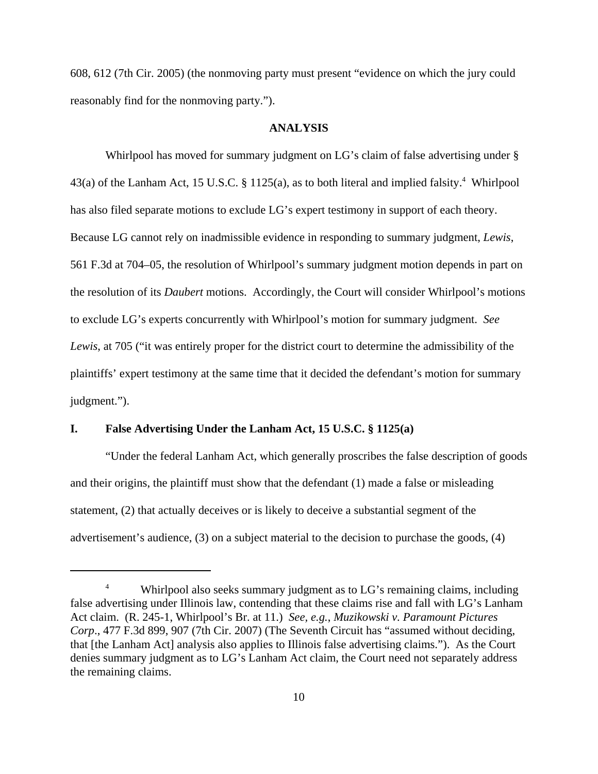608, 612 (7th Cir. 2005) (the nonmoving party must present "evidence on which the jury could reasonably find for the nonmoving party.").

## **ANALYSIS**

Whirlpool has moved for summary judgment on LG's claim of false advertising under § 43(a) of the Lanham Act, 15 U.S.C. § 1125(a), as to both literal and implied falsity.<sup>4</sup> Whirlpool has also filed separate motions to exclude LG's expert testimony in support of each theory. Because LG cannot rely on inadmissible evidence in responding to summary judgment, *Lewis*, 561 F.3d at 704–05, the resolution of Whirlpool's summary judgment motion depends in part on the resolution of its *Daubert* motions. Accordingly, the Court will consider Whirlpool's motions to exclude LG's experts concurrently with Whirlpool's motion for summary judgment. *See Lewis*, at 705 ("it was entirely proper for the district court to determine the admissibility of the plaintiffs' expert testimony at the same time that it decided the defendant's motion for summary judgment.").

## **I. False Advertising Under the Lanham Act, 15 U.S.C. § 1125(a)**

"Under the federal Lanham Act, which generally proscribes the false description of goods and their origins, the plaintiff must show that the defendant (1) made a false or misleading statement, (2) that actually deceives or is likely to deceive a substantial segment of the advertisement's audience, (3) on a subject material to the decision to purchase the goods, (4)

<sup>&</sup>lt;sup>4</sup> Whirlpool also seeks summary judgment as to LG's remaining claims, including false advertising under Illinois law, contending that these claims rise and fall with LG's Lanham Act claim. (R. 245-1, Whirlpool's Br. at 11.) *See, e.g.*, *Muzikowski v. Paramount Pictures Corp*., 477 F.3d 899, 907 (7th Cir. 2007) (The Seventh Circuit has "assumed without deciding, that [the Lanham Act] analysis also applies to Illinois false advertising claims."). As the Court denies summary judgment as to LG's Lanham Act claim, the Court need not separately address the remaining claims.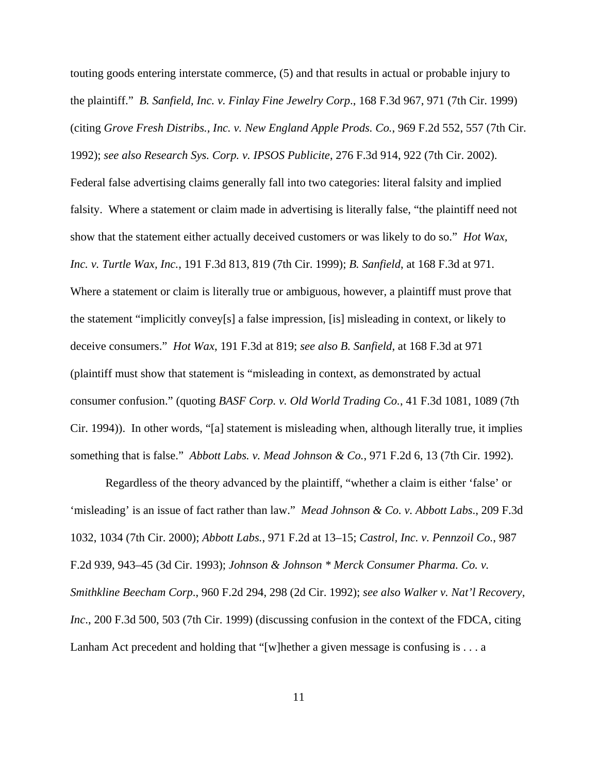touting goods entering interstate commerce, (5) and that results in actual or probable injury to the plaintiff." *B. Sanfield, Inc. v. Finlay Fine Jewelry Corp*., 168 F.3d 967, 971 (7th Cir. 1999) (citing *Grove Fresh Distribs., Inc. v. New England Apple Prods. Co.*, 969 F.2d 552, 557 (7th Cir. 1992); *see also Research Sys. Corp. v. IPSOS Publicite*, 276 F.3d 914, 922 (7th Cir. 2002). Federal false advertising claims generally fall into two categories: literal falsity and implied falsity. Where a statement or claim made in advertising is literally false, "the plaintiff need not show that the statement either actually deceived customers or was likely to do so." *Hot Wax, Inc. v. Turtle Wax, Inc.*, 191 F.3d 813, 819 (7th Cir. 1999); *B. Sanfield*, at 168 F.3d at 971. Where a statement or claim is literally true or ambiguous, however, a plaintiff must prove that the statement "implicitly convey[s] a false impression, [is] misleading in context, or likely to deceive consumers." *Hot Wax*, 191 F.3d at 819; *see also B. Sanfield*, at 168 F.3d at 971 (plaintiff must show that statement is "misleading in context, as demonstrated by actual consumer confusion." (quoting *BASF Corp. v. Old World Trading Co.*, 41 F.3d 1081, 1089 (7th Cir. 1994)). In other words, "[a] statement is misleading when, although literally true, it implies something that is false." *Abbott Labs. v. Mead Johnson & Co.*, 971 F.2d 6, 13 (7th Cir. 1992).

Regardless of the theory advanced by the plaintiff, "whether a claim is either 'false' or 'misleading' is an issue of fact rather than law." *Mead Johnson & Co. v. Abbott Labs*., 209 F.3d 1032, 1034 (7th Cir. 2000); *Abbott Labs.*, 971 F.2d at 13–15; *Castrol, Inc. v. Pennzoil Co.*, 987 F.2d 939, 943–45 (3d Cir. 1993); *Johnson & Johnson \* Merck Consumer Pharma. Co. v. Smithkline Beecham Corp*., 960 F.2d 294, 298 (2d Cir. 1992); *see also Walker v. Nat'l Recovery, Inc.*, 200 F.3d 500, 503 (7th Cir. 1999) (discussing confusion in the context of the FDCA, citing Lanham Act precedent and holding that "[w]hether a given message is confusing is . . . a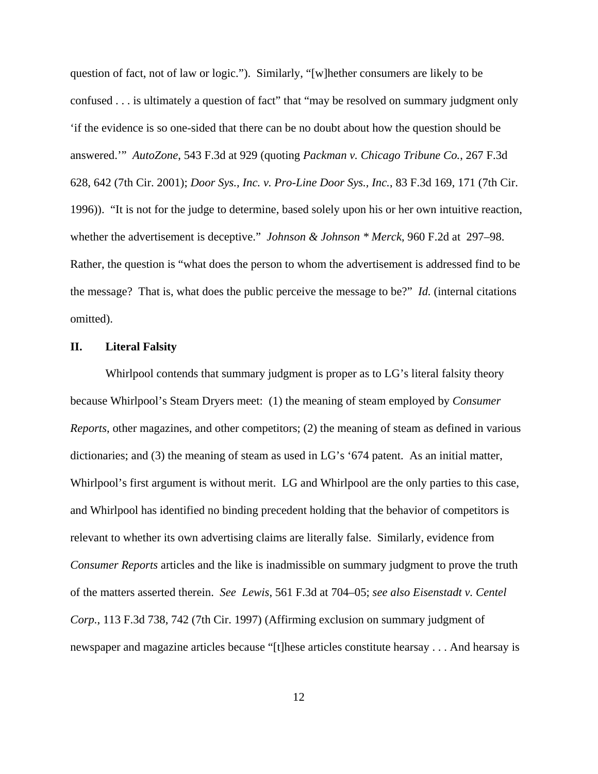question of fact, not of law or logic."). Similarly, "[w]hether consumers are likely to be confused . . . is ultimately a question of fact" that "may be resolved on summary judgment only 'if the evidence is so one-sided that there can be no doubt about how the question should be answered.'" *AutoZone*, 543 F.3d at 929 (quoting *Packman v. Chicago Tribune Co.*, 267 F.3d 628, 642 (7th Cir. 2001); *Door Sys., Inc. v. Pro-Line Door Sys., Inc.*, 83 F.3d 169, 171 (7th Cir. 1996)). "It is not for the judge to determine, based solely upon his or her own intuitive reaction, whether the advertisement is deceptive." *Johnson & Johnson \* Merck*, 960 F.2d at 297–98. Rather, the question is "what does the person to whom the advertisement is addressed find to be the message? That is, what does the public perceive the message to be?" *Id.* (internal citations omitted).

## **II. Literal Falsity**

Whirlpool contends that summary judgment is proper as to LG's literal falsity theory because Whirlpool's Steam Dryers meet: (1) the meaning of steam employed by *Consumer Reports*, other magazines, and other competitors; (2) the meaning of steam as defined in various dictionaries; and (3) the meaning of steam as used in LG's '674 patent. As an initial matter, Whirlpool's first argument is without merit. LG and Whirlpool are the only parties to this case, and Whirlpool has identified no binding precedent holding that the behavior of competitors is relevant to whether its own advertising claims are literally false. Similarly, evidence from *Consumer Reports* articles and the like is inadmissible on summary judgment to prove the truth of the matters asserted therein. *See Lewis*, 561 F.3d at 704–05; *see also Eisenstadt v. Centel Corp.*, 113 F.3d 738, 742 (7th Cir. 1997) (Affirming exclusion on summary judgment of newspaper and magazine articles because "[t]hese articles constitute hearsay . . . And hearsay is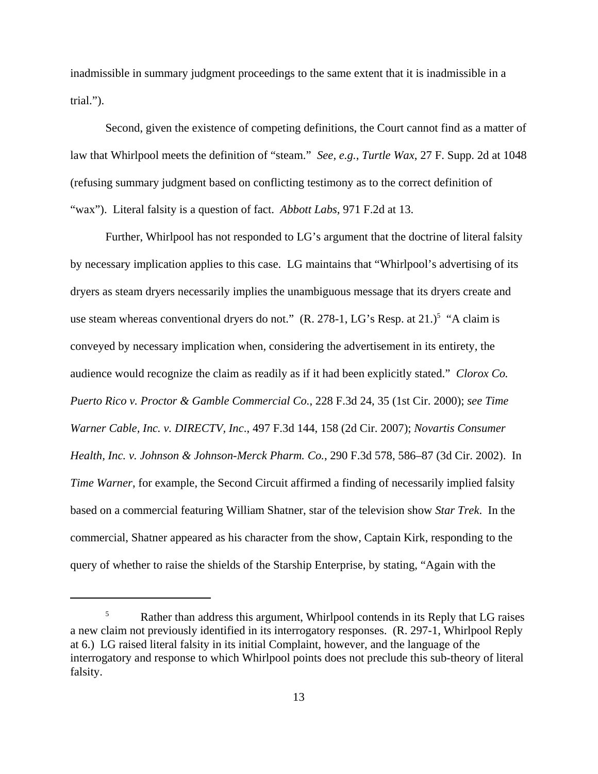inadmissible in summary judgment proceedings to the same extent that it is inadmissible in a trial.").

Second, given the existence of competing definitions, the Court cannot find as a matter of law that Whirlpool meets the definition of "steam." *See, e.g.*, *Turtle Wax*, 27 F. Supp. 2d at 1048 (refusing summary judgment based on conflicting testimony as to the correct definition of "wax"). Literal falsity is a question of fact. *Abbott Labs*, 971 F.2d at 13.

Further, Whirlpool has not responded to LG's argument that the doctrine of literal falsity by necessary implication applies to this case. LG maintains that "Whirlpool's advertising of its dryers as steam dryers necessarily implies the unambiguous message that its dryers create and use steam whereas conventional dryers do not."  $(R. 278-1, LG's Resp. at 21.)<sup>5</sup>$  "A claim is conveyed by necessary implication when, considering the advertisement in its entirety, the audience would recognize the claim as readily as if it had been explicitly stated." *Clorox Co. Puerto Rico v. Proctor & Gamble Commercial Co.*, 228 F.3d 24, 35 (1st Cir. 2000); *see Time Warner Cable, Inc. v. DIRECTV, Inc*., 497 F.3d 144, 158 (2d Cir. 2007); *Novartis Consumer Health, Inc. v. Johnson & Johnson-Merck Pharm. Co.*, 290 F.3d 578, 586–87 (3d Cir. 2002). In *Time Warner*, for example, the Second Circuit affirmed a finding of necessarily implied falsity based on a commercial featuring William Shatner, star of the television show *Star Trek*. In the commercial, Shatner appeared as his character from the show, Captain Kirk, responding to the query of whether to raise the shields of the Starship Enterprise, by stating, "Again with the

<sup>&</sup>lt;sup>5</sup> Rather than address this argument, Whirlpool contends in its Reply that LG raises a new claim not previously identified in its interrogatory responses. (R. 297-1, Whirlpool Reply at 6.) LG raised literal falsity in its initial Complaint, however, and the language of the interrogatory and response to which Whirlpool points does not preclude this sub-theory of literal falsity.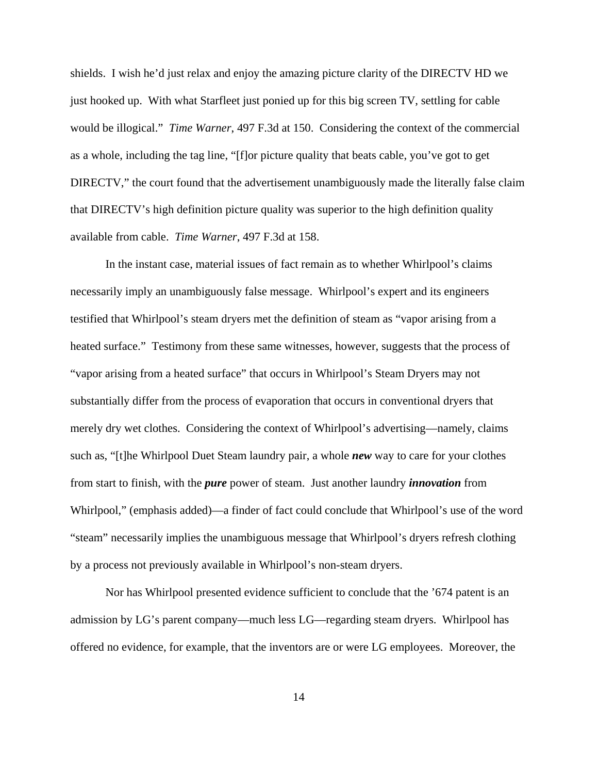shields. I wish he'd just relax and enjoy the amazing picture clarity of the DIRECTV HD we just hooked up. With what Starfleet just ponied up for this big screen TV, settling for cable would be illogical." *Time Warner*, 497 F.3d at 150. Considering the context of the commercial as a whole, including the tag line, "[f]or picture quality that beats cable, you've got to get DIRECTV," the court found that the advertisement unambiguously made the literally false claim that DIRECTV's high definition picture quality was superior to the high definition quality available from cable. *Time Warner*, 497 F.3d at 158.

In the instant case, material issues of fact remain as to whether Whirlpool's claims necessarily imply an unambiguously false message. Whirlpool's expert and its engineers testified that Whirlpool's steam dryers met the definition of steam as "vapor arising from a heated surface." Testimony from these same witnesses, however, suggests that the process of "vapor arising from a heated surface" that occurs in Whirlpool's Steam Dryers may not substantially differ from the process of evaporation that occurs in conventional dryers that merely dry wet clothes. Considering the context of Whirlpool's advertising—namely, claims such as, "[t]he Whirlpool Duet Steam laundry pair, a whole *new* way to care for your clothes from start to finish, with the *pure* power of steam. Just another laundry *innovation* from Whirlpool," (emphasis added)—a finder of fact could conclude that Whirlpool's use of the word "steam" necessarily implies the unambiguous message that Whirlpool's dryers refresh clothing by a process not previously available in Whirlpool's non-steam dryers.

Nor has Whirlpool presented evidence sufficient to conclude that the '674 patent is an admission by LG's parent company—much less LG—regarding steam dryers. Whirlpool has offered no evidence, for example, that the inventors are or were LG employees. Moreover, the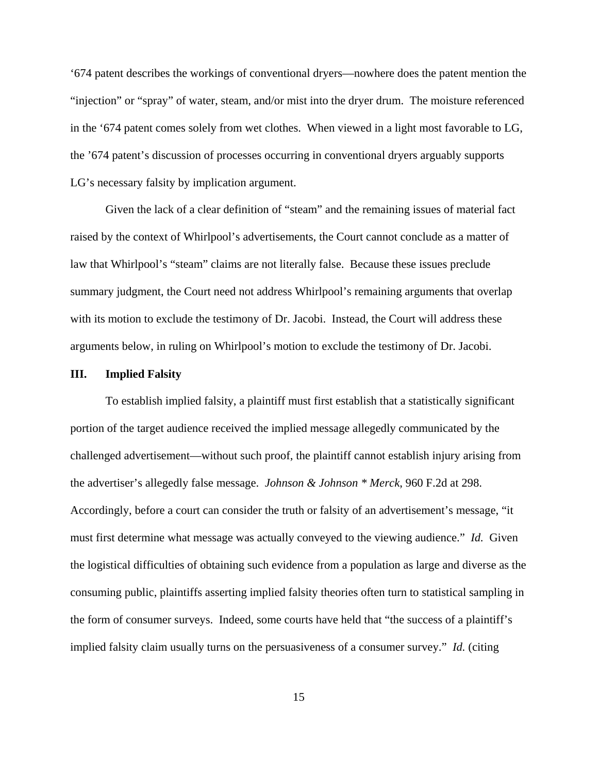'674 patent describes the workings of conventional dryers—nowhere does the patent mention the "injection" or "spray" of water, steam, and/or mist into the dryer drum. The moisture referenced in the '674 patent comes solely from wet clothes. When viewed in a light most favorable to LG, the '674 patent's discussion of processes occurring in conventional dryers arguably supports LG's necessary falsity by implication argument.

Given the lack of a clear definition of "steam" and the remaining issues of material fact raised by the context of Whirlpool's advertisements, the Court cannot conclude as a matter of law that Whirlpool's "steam" claims are not literally false. Because these issues preclude summary judgment, the Court need not address Whirlpool's remaining arguments that overlap with its motion to exclude the testimony of Dr. Jacobi. Instead, the Court will address these arguments below, in ruling on Whirlpool's motion to exclude the testimony of Dr. Jacobi.

### **III. Implied Falsity**

To establish implied falsity, a plaintiff must first establish that a statistically significant portion of the target audience received the implied message allegedly communicated by the challenged advertisement—without such proof, the plaintiff cannot establish injury arising from the advertiser's allegedly false message. *Johnson & Johnson \* Merck*, 960 F.2d at 298. Accordingly, before a court can consider the truth or falsity of an advertisement's message, "it must first determine what message was actually conveyed to the viewing audience." *Id.* Given the logistical difficulties of obtaining such evidence from a population as large and diverse as the consuming public, plaintiffs asserting implied falsity theories often turn to statistical sampling in the form of consumer surveys. Indeed, some courts have held that "the success of a plaintiff's implied falsity claim usually turns on the persuasiveness of a consumer survey." *Id.* (citing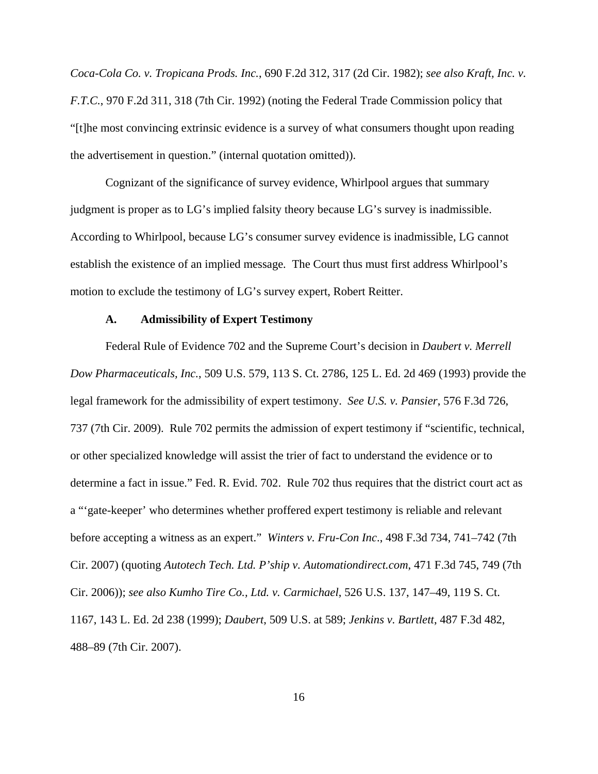*Coca-Cola Co. v. Tropicana Prods. Inc.*, 690 F.2d 312, 317 (2d Cir. 1982); *see also Kraft, Inc. v. F.T.C.*, 970 F.2d 311, 318 (7th Cir. 1992) (noting the Federal Trade Commission policy that "[t]he most convincing extrinsic evidence is a survey of what consumers thought upon reading the advertisement in question." (internal quotation omitted)).

 Cognizant of the significance of survey evidence, Whirlpool argues that summary judgment is proper as to LG's implied falsity theory because LG's survey is inadmissible. According to Whirlpool, because LG's consumer survey evidence is inadmissible, LG cannot establish the existence of an implied message*.* The Court thus must first address Whirlpool's motion to exclude the testimony of LG's survey expert, Robert Reitter.

#### **A. Admissibility of Expert Testimony**

Federal Rule of Evidence 702 and the Supreme Court's decision in *Daubert v. Merrell Dow Pharmaceuticals, Inc.*, 509 U.S. 579, 113 S. Ct. 2786, 125 L. Ed. 2d 469 (1993) provide the legal framework for the admissibility of expert testimony. *See U.S. v. Pansier*, 576 F.3d 726, 737 (7th Cir. 2009). Rule 702 permits the admission of expert testimony if "scientific, technical, or other specialized knowledge will assist the trier of fact to understand the evidence or to determine a fact in issue." Fed. R. Evid. 702. Rule 702 thus requires that the district court act as a "'gate-keeper' who determines whether proffered expert testimony is reliable and relevant before accepting a witness as an expert." *Winters v. Fru-Con Inc*., 498 F.3d 734, 741–742 (7th Cir. 2007) (quoting *Autotech Tech. Ltd. P'ship v. Automationdirect.com*, 471 F.3d 745, 749 (7th Cir. 2006)); *see also Kumho Tire Co., Ltd. v. Carmichael*, 526 U.S. 137, 147–49, 119 S. Ct. 1167, 143 L. Ed. 2d 238 (1999); *Daubert*, 509 U.S. at 589; *Jenkins v. Bartlett*, 487 F.3d 482, 488–89 (7th Cir. 2007).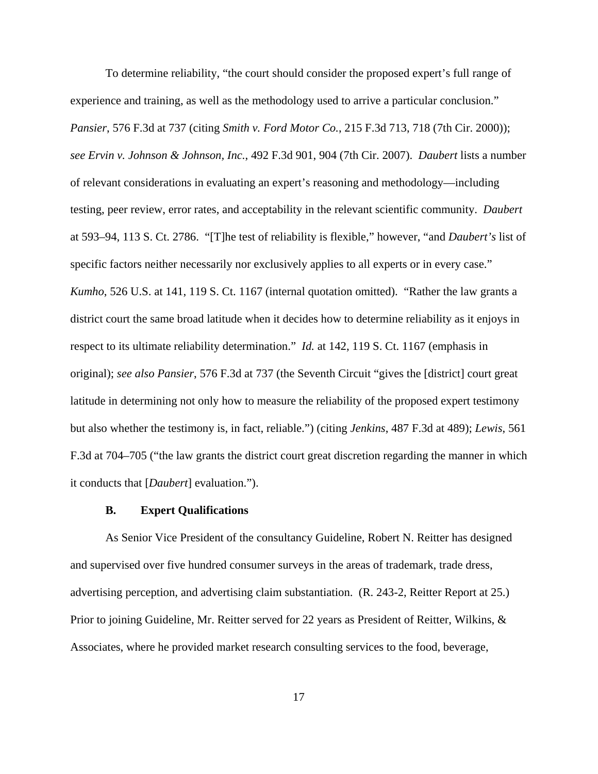To determine reliability, "the court should consider the proposed expert's full range of experience and training, as well as the methodology used to arrive a particular conclusion." *Pansier*, 576 F.3d at 737 (citing *Smith v. Ford Motor Co.*, 215 F.3d 713, 718 (7th Cir. 2000)); *see Ervin v. Johnson & Johnson, Inc.*, 492 F.3d 901, 904 (7th Cir. 2007). *Daubert* lists a number of relevant considerations in evaluating an expert's reasoning and methodology—including testing, peer review, error rates, and acceptability in the relevant scientific community. *Daubert* at 593–94, 113 S. Ct. 2786. "[T]he test of reliability is flexible," however, "and *Daubert's* list of specific factors neither necessarily nor exclusively applies to all experts or in every case." *Kumho*, 526 U.S. at 141, 119 S. Ct. 1167 (internal quotation omitted). "Rather the law grants a district court the same broad latitude when it decides how to determine reliability as it enjoys in respect to its ultimate reliability determination." *Id.* at 142, 119 S. Ct. 1167 (emphasis in original); *see also Pansier*, 576 F.3d at 737 (the Seventh Circuit "gives the [district] court great latitude in determining not only how to measure the reliability of the proposed expert testimony but also whether the testimony is, in fact, reliable.") (citing *Jenkins*, 487 F.3d at 489); *Lewis*, 561 F.3d at 704–705 ("the law grants the district court great discretion regarding the manner in which it conducts that [*Daubert*] evaluation.").

## **B. Expert Qualifications**

As Senior Vice President of the consultancy Guideline, Robert N. Reitter has designed and supervised over five hundred consumer surveys in the areas of trademark, trade dress, advertising perception, and advertising claim substantiation. (R. 243-2, Reitter Report at 25.) Prior to joining Guideline, Mr. Reitter served for 22 years as President of Reitter, Wilkins, & Associates, where he provided market research consulting services to the food, beverage,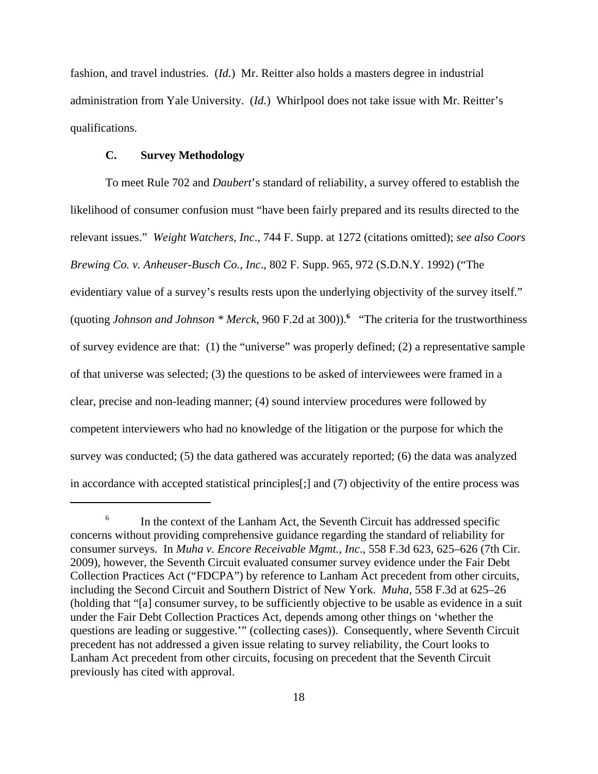fashion, and travel industries. (*Id.*) Mr. Reitter also holds a masters degree in industrial administration from Yale University. (*Id.*) Whirlpool does not take issue with Mr. Reitter's qualifications.

## **C. Survey Methodology**

To meet Rule 702 and *Daubert*'s standard of reliability, a survey offered to establish the likelihood of consumer confusion must "have been fairly prepared and its results directed to the relevant issues." *Weight Watchers, Inc*., 744 F. Supp. at 1272 (citations omitted); *see also Coors Brewing Co. v. Anheuser-Busch Co., Inc*., 802 F. Supp. 965, 972 (S.D.N.Y. 1992) ("The evidentiary value of a survey's results rests upon the underlying objectivity of the survey itself." (quoting *Johnson and Johnson \* Merck*, 960 F.2d at 300)).**<sup>6</sup>** "The criteria for the trustworthiness of survey evidence are that: (1) the "universe" was properly defined; (2) a representative sample of that universe was selected; (3) the questions to be asked of interviewees were framed in a clear, precise and non-leading manner; (4) sound interview procedures were followed by competent interviewers who had no knowledge of the litigation or the purpose for which the survey was conducted; (5) the data gathered was accurately reported; (6) the data was analyzed in accordance with accepted statistical principles[;] and (7) objectivity of the entire process was

 $6$  In the context of the Lanham Act, the Seventh Circuit has addressed specific concerns without providing comprehensive guidance regarding the standard of reliability for consumer surveys. In *Muha v. Encore Receivable Mgmt., Inc*., 558 F.3d 623, 625–626 (7th Cir. 2009), however, the Seventh Circuit evaluated consumer survey evidence under the Fair Debt Collection Practices Act ("FDCPA") by reference to Lanham Act precedent from other circuits, including the Second Circuit and Southern District of New York. *Muha*, 558 F.3d at 625–26 (holding that "[a] consumer survey, to be sufficiently objective to be usable as evidence in a suit under the Fair Debt Collection Practices Act, depends among other things on 'whether the questions are leading or suggestive.'" (collecting cases)). Consequently, where Seventh Circuit precedent has not addressed a given issue relating to survey reliability, the Court looks to Lanham Act precedent from other circuits, focusing on precedent that the Seventh Circuit previously has cited with approval.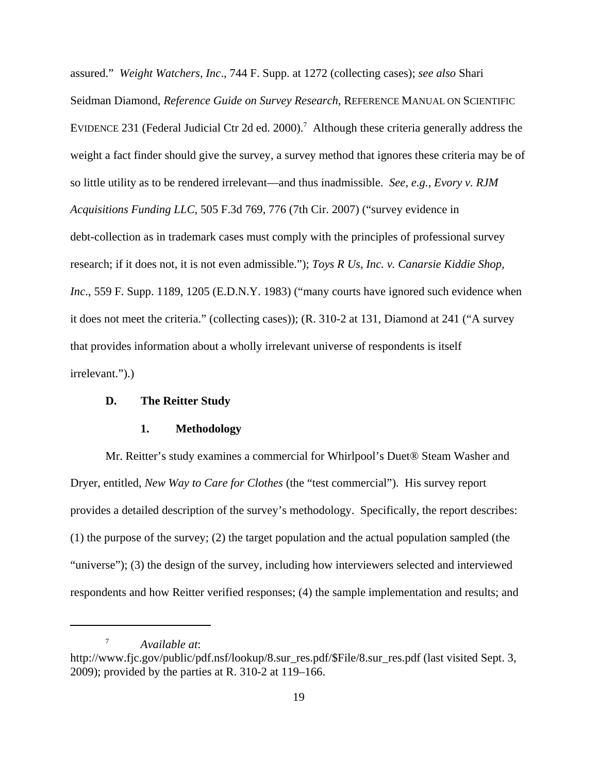assured." *Weight Watchers, Inc*., 744 F. Supp. at 1272 (collecting cases); *see also* Shari Seidman Diamond, *Reference Guide on Survey Research*, REFERENCE MANUAL ON SCIENTIFIC EVIDENCE 231 (Federal Judicial Ctr 2d ed. 2000).<sup>7</sup> Although these criteria generally address the weight a fact finder should give the survey, a survey method that ignores these criteria may be of so little utility as to be rendered irrelevant—and thus inadmissible. *See, e.g.*, *Evory v. RJM Acquisitions Funding LLC*, 505 F.3d 769, 776 (7th Cir. 2007) ("survey evidence in debt-collection as in trademark cases must comply with the principles of professional survey research; if it does not, it is not even admissible."); *Toys R Us, Inc. v. Canarsie Kiddie Shop, Inc.*, 559 F. Supp. 1189, 1205 (E.D.N.Y. 1983) ("many courts have ignored such evidence when it does not meet the criteria." (collecting cases)); (R. 310-2 at 131, Diamond at 241 ("A survey that provides information about a wholly irrelevant universe of respondents is itself irrelevant.").)

## **D. The Reitter Study**

#### **1. Methodology**

Mr. Reitter's study examines a commercial for Whirlpool's Duet® Steam Washer and Dryer, entitled, *New Way to Care for Clothes* (the "test commercial"). His survey report provides a detailed description of the survey's methodology. Specifically, the report describes: (1) the purpose of the survey; (2) the target population and the actual population sampled (the "universe"); (3) the design of the survey, including how interviewers selected and interviewed respondents and how Reitter verified responses; (4) the sample implementation and results; and

<sup>7</sup> *Available at*:

http://www.fjc.gov/public/pdf.nsf/lookup/8.sur\_res.pdf/\$File/8.sur\_res.pdf (last visited Sept. 3, 2009); provided by the parties at R. 310-2 at 119–166.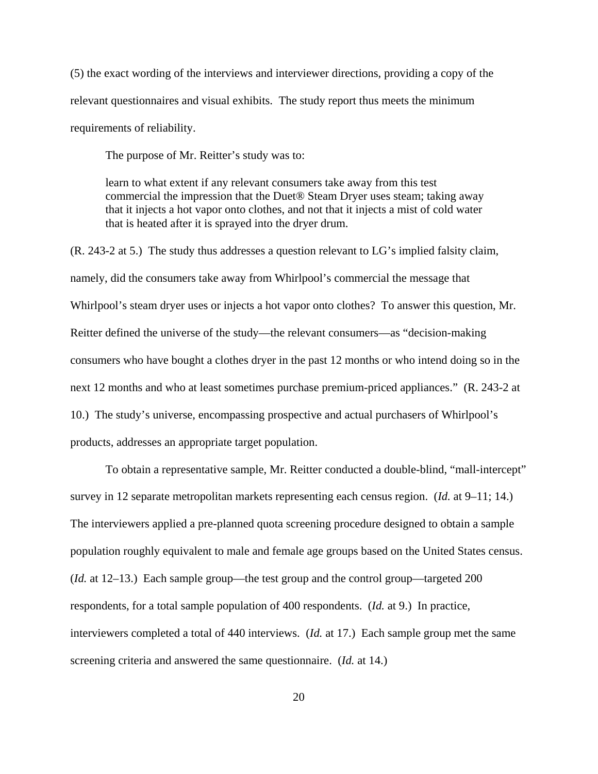(5) the exact wording of the interviews and interviewer directions, providing a copy of the relevant questionnaires and visual exhibits. The study report thus meets the minimum requirements of reliability.

The purpose of Mr. Reitter's study was to:

learn to what extent if any relevant consumers take away from this test commercial the impression that the Duet® Steam Dryer uses steam; taking away that it injects a hot vapor onto clothes, and not that it injects a mist of cold water that is heated after it is sprayed into the dryer drum.

(R. 243-2 at 5.) The study thus addresses a question relevant to LG's implied falsity claim, namely, did the consumers take away from Whirlpool's commercial the message that Whirlpool's steam dryer uses or injects a hot vapor onto clothes? To answer this question, Mr. Reitter defined the universe of the study—the relevant consumers—as "decision-making consumers who have bought a clothes dryer in the past 12 months or who intend doing so in the next 12 months and who at least sometimes purchase premium-priced appliances." (R. 243-2 at 10.) The study's universe, encompassing prospective and actual purchasers of Whirlpool's products, addresses an appropriate target population.

To obtain a representative sample, Mr. Reitter conducted a double-blind, "mall-intercept" survey in 12 separate metropolitan markets representing each census region. (*Id.* at 9–11; 14.) The interviewers applied a pre-planned quota screening procedure designed to obtain a sample population roughly equivalent to male and female age groups based on the United States census. (*Id.* at 12–13.) Each sample group—the test group and the control group—targeted 200 respondents, for a total sample population of 400 respondents. (*Id.* at 9.) In practice, interviewers completed a total of 440 interviews. (*Id.* at 17.) Each sample group met the same screening criteria and answered the same questionnaire. (*Id.* at 14.)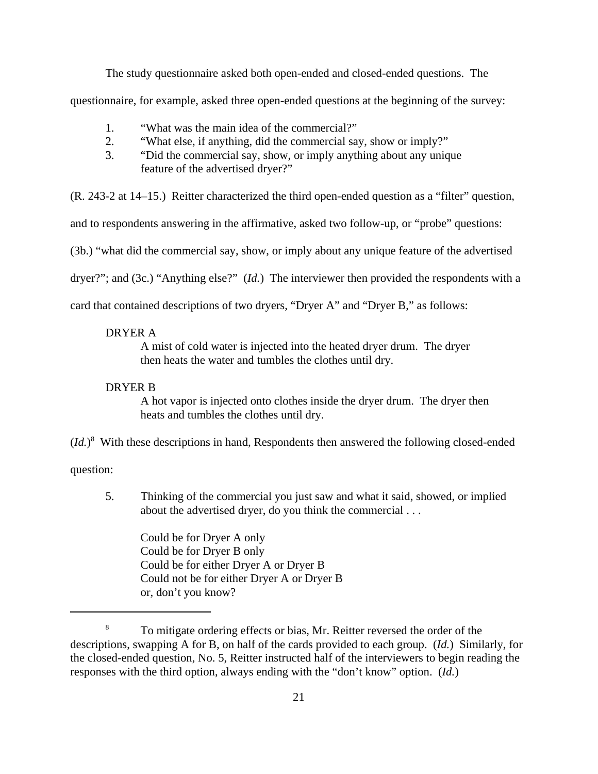The study questionnaire asked both open-ended and closed-ended questions. The

questionnaire, for example, asked three open-ended questions at the beginning of the survey:

- 1. "What was the main idea of the commercial?"
- 2. "What else, if anything, did the commercial say, show or imply?"
- 3. "Did the commercial say, show, or imply anything about any unique feature of the advertised dryer?"

(R. 243-2 at 14–15.) Reitter characterized the third open-ended question as a "filter" question,

and to respondents answering in the affirmative, asked two follow-up, or "probe" questions:

(3b.) "what did the commercial say, show, or imply about any unique feature of the advertised

dryer?"; and (3c.) "Anything else?" (*Id.*) The interviewer then provided the respondents with a

card that contained descriptions of two dryers, "Dryer A" and "Dryer B," as follows:

## DRYER A

A mist of cold water is injected into the heated dryer drum. The dryer then heats the water and tumbles the clothes until dry.

#### DRYER B

A hot vapor is injected onto clothes inside the dryer drum. The dryer then heats and tumbles the clothes until dry.

(*Id.*) 8 With these descriptions in hand, Respondents then answered the following closed-ended

question:

 5. Thinking of the commercial you just saw and what it said, showed, or implied about the advertised dryer, do you think the commercial . . .

Could be for Dryer A only Could be for Dryer B only Could be for either Dryer A or Dryer B Could not be for either Dryer A or Dryer B or, don't you know?

<sup>8</sup> To mitigate ordering effects or bias, Mr. Reitter reversed the order of the descriptions, swapping A for B, on half of the cards provided to each group. (*Id.*) Similarly, for the closed-ended question, No. 5, Reitter instructed half of the interviewers to begin reading the responses with the third option, always ending with the "don't know" option. (*Id.*)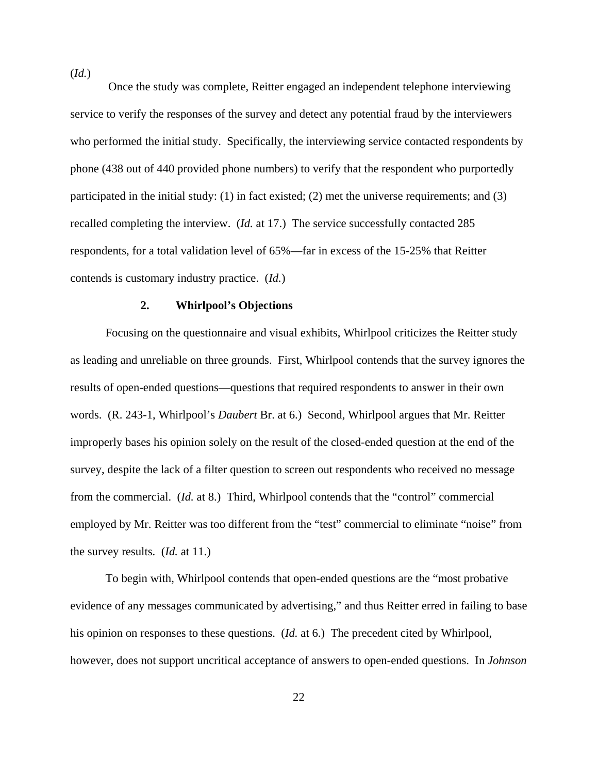Once the study was complete, Reitter engaged an independent telephone interviewing service to verify the responses of the survey and detect any potential fraud by the interviewers who performed the initial study. Specifically, the interviewing service contacted respondents by phone (438 out of 440 provided phone numbers) to verify that the respondent who purportedly participated in the initial study: (1) in fact existed; (2) met the universe requirements; and (3) recalled completing the interview. (*Id.* at 17.) The service successfully contacted 285 respondents, for a total validation level of 65%—far in excess of the 15-25% that Reitter contends is customary industry practice. (*Id.*)

### **2. Whirlpool's Objections**

Focusing on the questionnaire and visual exhibits, Whirlpool criticizes the Reitter study as leading and unreliable on three grounds. First, Whirlpool contends that the survey ignores the results of open-ended questions—questions that required respondents to answer in their own words. (R. 243-1, Whirlpool's *Daubert* Br. at 6.) Second, Whirlpool argues that Mr. Reitter improperly bases his opinion solely on the result of the closed-ended question at the end of the survey, despite the lack of a filter question to screen out respondents who received no message from the commercial. (*Id.* at 8.) Third, Whirlpool contends that the "control" commercial employed by Mr. Reitter was too different from the "test" commercial to eliminate "noise" from the survey results. (*Id.* at 11.)

To begin with, Whirlpool contends that open-ended questions are the "most probative evidence of any messages communicated by advertising," and thus Reitter erred in failing to base his opinion on responses to these questions. (*Id.* at 6.) The precedent cited by Whirlpool, however, does not support uncritical acceptance of answers to open-ended questions. In *Johnson*

(*Id.*)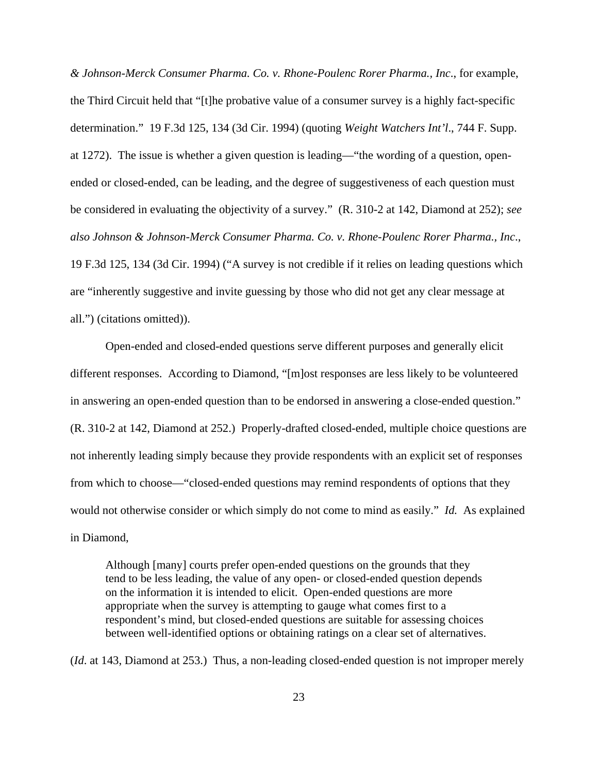*& Johnson-Merck Consumer Pharma. Co. v. Rhone-Poulenc Rorer Pharma., Inc*., for example, the Third Circuit held that "[t]he probative value of a consumer survey is a highly fact-specific determination." 19 F.3d 125, 134 (3d Cir. 1994) (quoting *Weight Watchers Int'l*., 744 F. Supp. at 1272). The issue is whether a given question is leading—"the wording of a question, openended or closed-ended, can be leading, and the degree of suggestiveness of each question must be considered in evaluating the objectivity of a survey." (R. 310-2 at 142, Diamond at 252); *see also Johnson & Johnson-Merck Consumer Pharma. Co. v. Rhone-Poulenc Rorer Pharma., Inc*., 19 F.3d 125, 134 (3d Cir. 1994) ("A survey is not credible if it relies on leading questions which are "inherently suggestive and invite guessing by those who did not get any clear message at all.") (citations omitted)).

Open-ended and closed-ended questions serve different purposes and generally elicit different responses. According to Diamond, "[m]ost responses are less likely to be volunteered in answering an open-ended question than to be endorsed in answering a close-ended question." (R. 310-2 at 142, Diamond at 252.) Properly-drafted closed-ended, multiple choice questions are not inherently leading simply because they provide respondents with an explicit set of responses from which to choose—"closed-ended questions may remind respondents of options that they would not otherwise consider or which simply do not come to mind as easily." *Id.* As explained in Diamond,

Although [many] courts prefer open-ended questions on the grounds that they tend to be less leading, the value of any open- or closed-ended question depends on the information it is intended to elicit. Open-ended questions are more appropriate when the survey is attempting to gauge what comes first to a respondent's mind, but closed-ended questions are suitable for assessing choices between well-identified options or obtaining ratings on a clear set of alternatives.

(*Id*. at 143, Diamond at 253.) Thus, a non-leading closed-ended question is not improper merely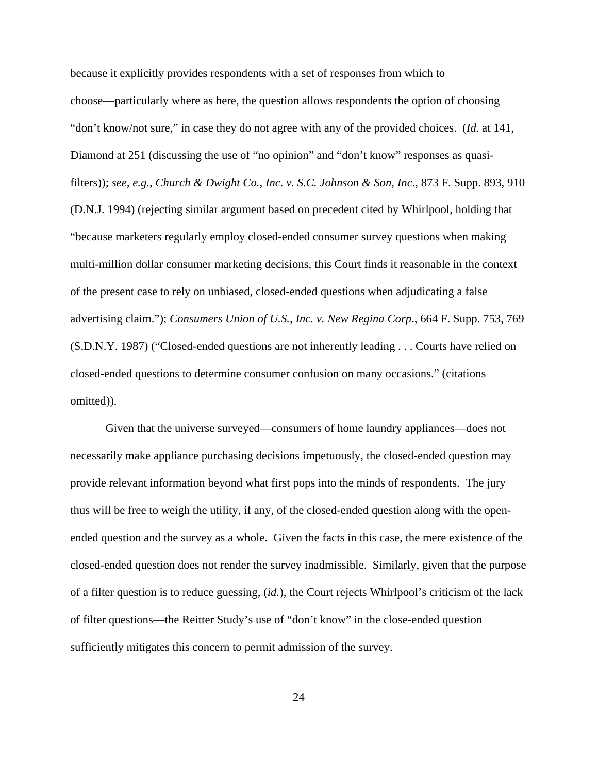because it explicitly provides respondents with a set of responses from which to choose—particularly where as here, the question allows respondents the option of choosing "don't know/not sure," in case they do not agree with any of the provided choices. (*Id*. at 141, Diamond at 251 (discussing the use of "no opinion" and "don't know" responses as quasifilters)); *see, e.g.*, *Church & Dwight Co., Inc. v. S.C. Johnson & Son, Inc*., 873 F. Supp. 893, 910 (D.N.J. 1994) (rejecting similar argument based on precedent cited by Whirlpool, holding that "because marketers regularly employ closed-ended consumer survey questions when making multi-million dollar consumer marketing decisions, this Court finds it reasonable in the context of the present case to rely on unbiased, closed-ended questions when adjudicating a false advertising claim."); *Consumers Union of U.S., Inc. v. New Regina Corp*., 664 F. Supp. 753, 769 (S.D.N.Y. 1987) ("Closed-ended questions are not inherently leading . . . Courts have relied on closed-ended questions to determine consumer confusion on many occasions." (citations omitted)).

Given that the universe surveyed—consumers of home laundry appliances—does not necessarily make appliance purchasing decisions impetuously, the closed-ended question may provide relevant information beyond what first pops into the minds of respondents. The jury thus will be free to weigh the utility, if any, of the closed-ended question along with the openended question and the survey as a whole. Given the facts in this case, the mere existence of the closed-ended question does not render the survey inadmissible. Similarly, given that the purpose of a filter question is to reduce guessing, (*id.*), the Court rejects Whirlpool's criticism of the lack of filter questions—the Reitter Study's use of "don't know" in the close-ended question sufficiently mitigates this concern to permit admission of the survey.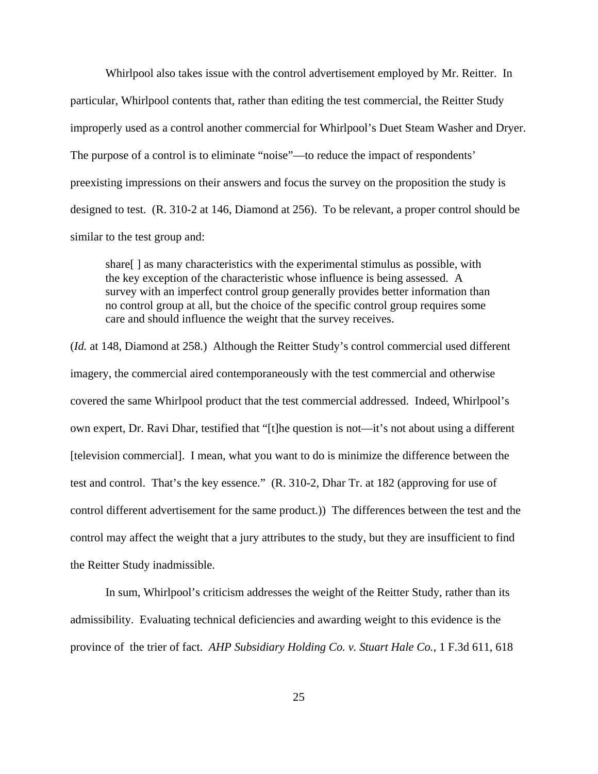Whirlpool also takes issue with the control advertisement employed by Mr. Reitter. In particular, Whirlpool contents that, rather than editing the test commercial, the Reitter Study improperly used as a control another commercial for Whirlpool's Duet Steam Washer and Dryer. The purpose of a control is to eliminate "noise"—to reduce the impact of respondents' preexisting impressions on their answers and focus the survey on the proposition the study is designed to test. (R. 310-2 at 146, Diamond at 256). To be relevant, a proper control should be similar to the test group and:

share[ ] as many characteristics with the experimental stimulus as possible, with the key exception of the characteristic whose influence is being assessed. A survey with an imperfect control group generally provides better information than no control group at all, but the choice of the specific control group requires some care and should influence the weight that the survey receives.

(*Id.* at 148, Diamond at 258.) Although the Reitter Study's control commercial used different imagery, the commercial aired contemporaneously with the test commercial and otherwise covered the same Whirlpool product that the test commercial addressed. Indeed, Whirlpool's own expert, Dr. Ravi Dhar, testified that "[t]he question is not—it's not about using a different [television commercial]. I mean, what you want to do is minimize the difference between the test and control. That's the key essence." (R. 310-2, Dhar Tr. at 182 (approving for use of control different advertisement for the same product.)) The differences between the test and the control may affect the weight that a jury attributes to the study, but they are insufficient to find the Reitter Study inadmissible.

In sum, Whirlpool's criticism addresses the weight of the Reitter Study, rather than its admissibility. Evaluating technical deficiencies and awarding weight to this evidence is the province of the trier of fact. *AHP Subsidiary Holding Co. v. Stuart Hale Co.*, 1 F.3d 611, 618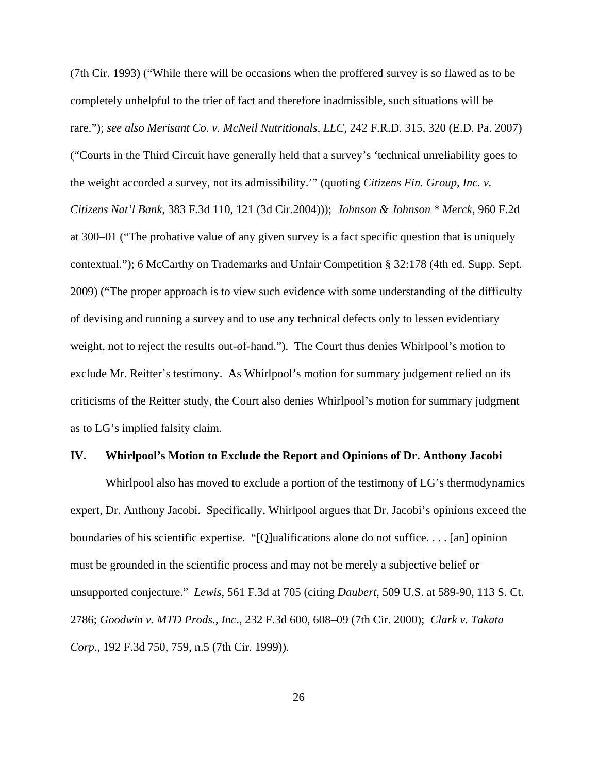(7th Cir. 1993) ("While there will be occasions when the proffered survey is so flawed as to be completely unhelpful to the trier of fact and therefore inadmissible, such situations will be rare."); *see also Merisant Co. v. McNeil Nutritionals, LLC*, 242 F.R.D. 315, 320 (E.D. Pa. 2007) ("Courts in the Third Circuit have generally held that a survey's 'technical unreliability goes to the weight accorded a survey, not its admissibility.'" (quoting *Citizens Fin. Group, Inc. v. Citizens Nat'l Bank*, 383 F.3d 110, 121 (3d Cir.2004))); *Johnson & Johnson \* Merck*, 960 F.2d at 300–01 ("The probative value of any given survey is a fact specific question that is uniquely contextual."); 6 McCarthy on Trademarks and Unfair Competition § 32:178 (4th ed. Supp. Sept. 2009) ("The proper approach is to view such evidence with some understanding of the difficulty of devising and running a survey and to use any technical defects only to lessen evidentiary weight, not to reject the results out-of-hand."). The Court thus denies Whirlpool's motion to exclude Mr. Reitter's testimony. As Whirlpool's motion for summary judgement relied on its criticisms of the Reitter study, the Court also denies Whirlpool's motion for summary judgment as to LG's implied falsity claim.

#### **IV. Whirlpool's Motion to Exclude the Report and Opinions of Dr. Anthony Jacobi**

Whirlpool also has moved to exclude a portion of the testimony of LG's thermodynamics expert, Dr. Anthony Jacobi. Specifically, Whirlpool argues that Dr. Jacobi's opinions exceed the boundaries of his scientific expertise. "[Q]ualifications alone do not suffice. . . . [an] opinion must be grounded in the scientific process and may not be merely a subjective belief or unsupported conjecture." *Lewis*, 561 F.3d at 705 (citing *Daubert*, 509 U.S. at 589-90, 113 S. Ct. 2786; *Goodwin v. MTD Prods., Inc*., 232 F.3d 600, 608–09 (7th Cir. 2000); *Clark v. Takata Corp*., 192 F.3d 750, 759, n.5 (7th Cir. 1999)).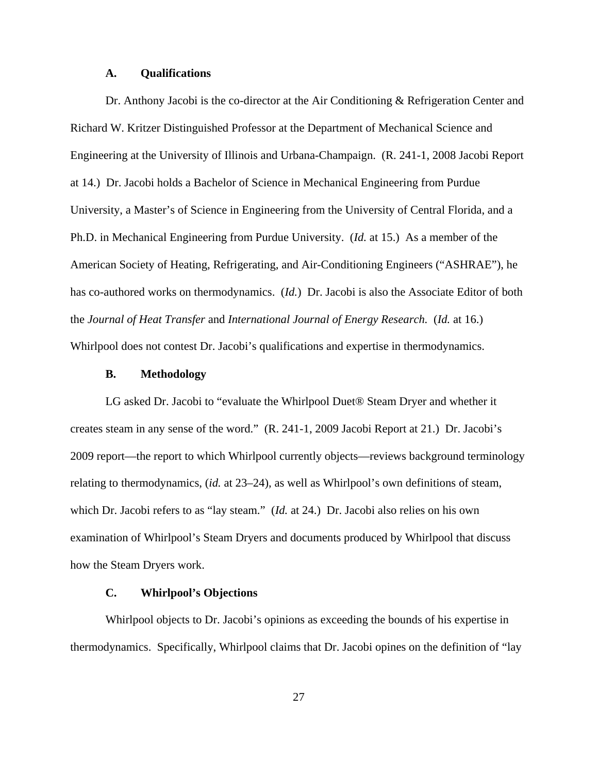#### **A. Qualifications**

Dr. Anthony Jacobi is the co-director at the Air Conditioning & Refrigeration Center and Richard W. Kritzer Distinguished Professor at the Department of Mechanical Science and Engineering at the University of Illinois and Urbana-Champaign. (R. 241-1, 2008 Jacobi Report at 14.) Dr. Jacobi holds a Bachelor of Science in Mechanical Engineering from Purdue University, a Master's of Science in Engineering from the University of Central Florida, and a Ph.D. in Mechanical Engineering from Purdue University. (*Id.* at 15.) As a member of the American Society of Heating, Refrigerating, and Air-Conditioning Engineers ("ASHRAE"), he has co-authored works on thermodynamics. (*Id.*) Dr. Jacobi is also the Associate Editor of both the *Journal of Heat Transfer* and *International Journal of Energy Research.* (*Id.* at 16.) Whirlpool does not contest Dr. Jacobi's qualifications and expertise in thermodynamics.

#### **B. Methodology**

LG asked Dr. Jacobi to "evaluate the Whirlpool Duet<sup>®</sup> Steam Dryer and whether it creates steam in any sense of the word." (R. 241-1, 2009 Jacobi Report at 21.) Dr. Jacobi's 2009 report—the report to which Whirlpool currently objects—reviews background terminology relating to thermodynamics, (*id.* at 23–24), as well as Whirlpool's own definitions of steam, which Dr. Jacobi refers to as "lay steam." (*Id.* at 24.) Dr. Jacobi also relies on his own examination of Whirlpool's Steam Dryers and documents produced by Whirlpool that discuss how the Steam Dryers work.

# **C. Whirlpool's Objections**

Whirlpool objects to Dr. Jacobi's opinions as exceeding the bounds of his expertise in thermodynamics. Specifically, Whirlpool claims that Dr. Jacobi opines on the definition of "lay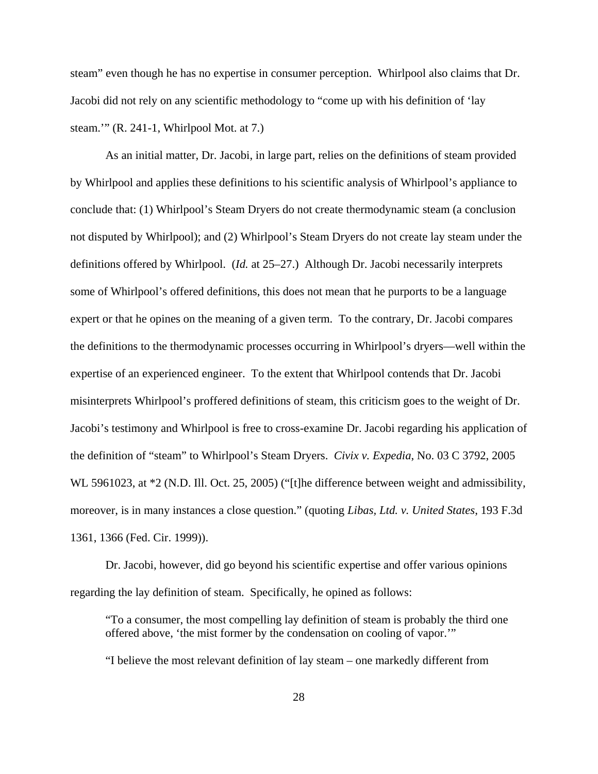steam" even though he has no expertise in consumer perception. Whirlpool also claims that Dr. Jacobi did not rely on any scientific methodology to "come up with his definition of 'lay steam.'" (R. 241-1, Whirlpool Mot. at 7.)

As an initial matter, Dr. Jacobi, in large part, relies on the definitions of steam provided by Whirlpool and applies these definitions to his scientific analysis of Whirlpool's appliance to conclude that: (1) Whirlpool's Steam Dryers do not create thermodynamic steam (a conclusion not disputed by Whirlpool); and (2) Whirlpool's Steam Dryers do not create lay steam under the definitions offered by Whirlpool. (*Id.* at 25–27.) Although Dr. Jacobi necessarily interprets some of Whirlpool's offered definitions, this does not mean that he purports to be a language expert or that he opines on the meaning of a given term. To the contrary, Dr. Jacobi compares the definitions to the thermodynamic processes occurring in Whirlpool's dryers—well within the expertise of an experienced engineer. To the extent that Whirlpool contends that Dr. Jacobi misinterprets Whirlpool's proffered definitions of steam, this criticism goes to the weight of Dr. Jacobi's testimony and Whirlpool is free to cross-examine Dr. Jacobi regarding his application of the definition of "steam" to Whirlpool's Steam Dryers. *Civix v. Expedia*, No. 03 C 3792, 2005 WL 5961023, at  $*2$  (N.D. Ill. Oct. 25, 2005) ("[t]he difference between weight and admissibility, moreover, is in many instances a close question." (quoting *Libas, Ltd. v. United States*, 193 F.3d 1361, 1366 (Fed. Cir. 1999)).

Dr. Jacobi, however, did go beyond his scientific expertise and offer various opinions regarding the lay definition of steam. Specifically, he opined as follows:

"To a consumer, the most compelling lay definition of steam is probably the third one offered above, 'the mist former by the condensation on cooling of vapor.'"

"I believe the most relevant definition of lay steam – one markedly different from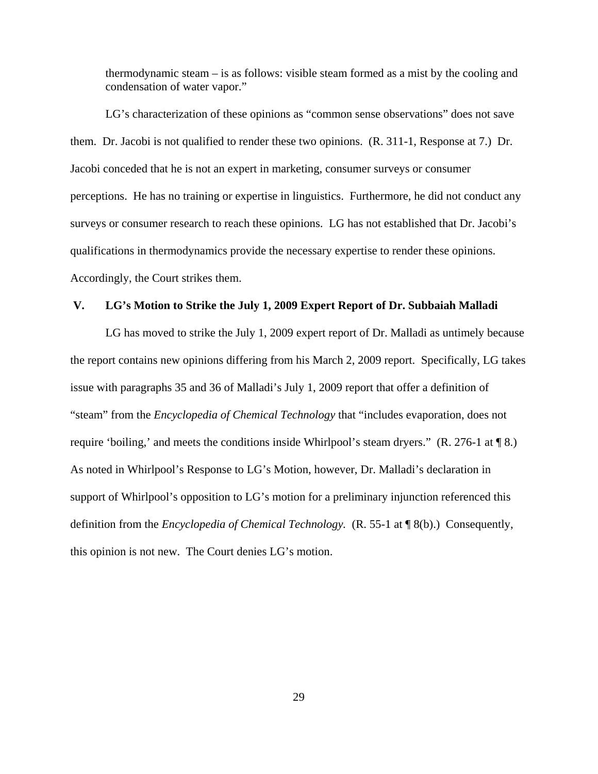thermodynamic steam – is as follows: visible steam formed as a mist by the cooling and condensation of water vapor."

LG's characterization of these opinions as "common sense observations" does not save them. Dr. Jacobi is not qualified to render these two opinions. (R. 311-1, Response at 7.) Dr. Jacobi conceded that he is not an expert in marketing, consumer surveys or consumer perceptions. He has no training or expertise in linguistics. Furthermore, he did not conduct any surveys or consumer research to reach these opinions. LG has not established that Dr. Jacobi's qualifications in thermodynamics provide the necessary expertise to render these opinions. Accordingly, the Court strikes them.

### **V. LG's Motion to Strike the July 1, 2009 Expert Report of Dr. Subbaiah Malladi**

LG has moved to strike the July 1, 2009 expert report of Dr. Malladi as untimely because the report contains new opinions differing from his March 2, 2009 report. Specifically, LG takes issue with paragraphs 35 and 36 of Malladi's July 1, 2009 report that offer a definition of "steam" from the *Encyclopedia of Chemical Technology* that "includes evaporation, does not require 'boiling,' and meets the conditions inside Whirlpool's steam dryers." (R. 276-1 at ¶ 8.) As noted in Whirlpool's Response to LG's Motion, however, Dr. Malladi's declaration in support of Whirlpool's opposition to LG's motion for a preliminary injunction referenced this definition from the *Encyclopedia of Chemical Technology.* (R. 55-1 at ¶ 8(b).) Consequently, this opinion is not new. The Court denies LG's motion.